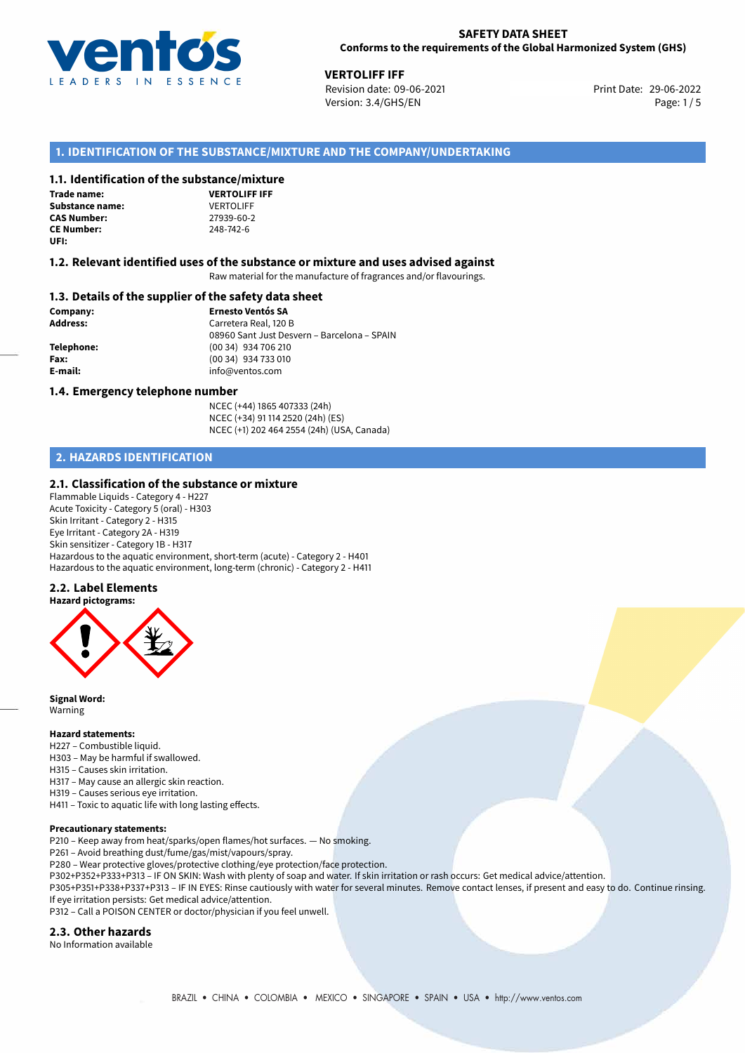

29-06-2022 **VERTOLIFF IFF** Revision date: 09-06-2021 Version: 3.4/GHS/EN Page: 1/5

# **1. IDENTIFICATION OF THE SUBSTANCE/MIXTURE AND THE COMPANY/UNDERTAKING**

#### **1.1. Identification of the substance/mixture**

**Trade name: Substance name:**  $VERTOLIFF$ <br> **CAS Number:** 27939-60-2 **CAS Number:** 27939-60-2 **CE Number:** 248-742-6 **UFI:**

**VERTOLIFF IFF**

#### **1.2. Relevant identified uses of the substance or mixture and uses advised against**

Raw material for the manufacture of fragrances and/or flavourings.

#### **1.3. Details of the supplier of the safety data sheet**

**Company: Ernesto Ventós SA Address:** Carretera Real, 120 B 08960 Sant Just Desvern – Barcelona – SPAIN **Telephone:** (00 34) 934 706 210 **Fax:** (00 34) 934 733 010 **E-mail:** info@ventos.com

#### **1.4. Emergency telephone number**

NCEC (+44) 1865 407333 (24h) NCEC (+34) 91 114 2520 (24h) (ES) NCEC (+1) 202 464 2554 (24h) (USA, Canada)

# **2. HAZARDS IDENTIFICATION**

#### **2.1. Classification of the substance or mixture**

Flammable Liquids - Category 4 - H227 Acute Toxicity - Category 5 (oral) - H303 Skin Irritant - Category 2 - H315 Eye Irritant - Category 2A - H319 Skin sensitizer - Category 1B - H317 Hazardous to the aquatic environment, short-term (acute) - Category 2 - H401 Hazardous to the aquatic environment, long-term (chronic) - Category 2 - H411

#### **2.2. Label Elements**



**Signal Word:** Warning

#### **Hazard statements:**

- H227 Combustible liquid.
- H303 May be harmful if swallowed.
- H315 Causes skin irritation.
- H317 May cause an allergic skin reaction.
- H319 Causes serious eye irritation.
- H411 Toxic to aquatic life with long lasting effects.

#### **Precautionary statements:**

P210 – Keep away from heat/sparks/open flames/hot surfaces. — No smoking.

P261 – Avoid breathing dust/fume/gas/mist/vapours/spray.

- P280 Wear protective gloves/protective clothing/eye protection/face protection.
- P302+P352+P333+P313 IF ON SKIN: Wash with plenty of soap and water. If skin irritation or rash occurs: Get medical advice/attention.
- P305+P351+P338+P337+P313 IF IN EYES: Rinse cautiously with water for several minutes. Remove contact lenses, if present and easy to do. Continue rinsing. If eye irritation persists: Get medical advice/attention.

P312 – Call a POISON CENTER or doctor/physician if you feel unwell.

#### **2.3. Other hazards**

No Information available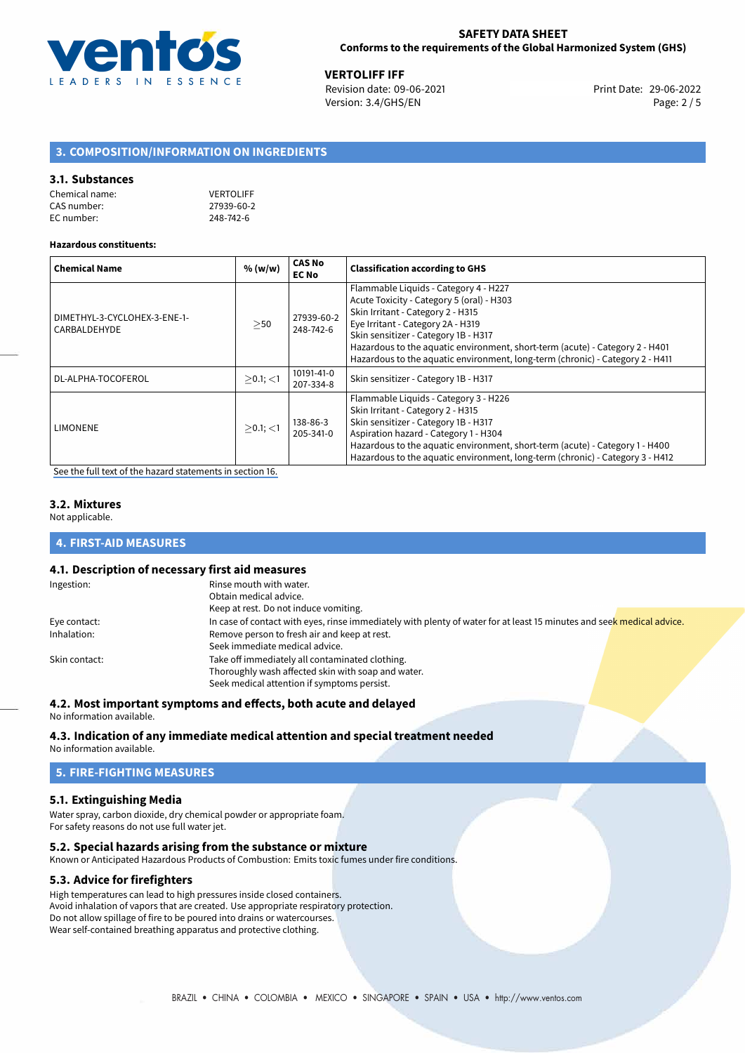

29-06-2022 **VERTOLIFF IFF** Revision date: 09-06-2021 Print Date: Version: 3.4/GHS/EN Page: 2 / 5

# **3. COMPOSITION/INFORMATION ON INGREDIENTS**

#### **3.1. Substances**

| Chemical name: | <b>VERTOLIFF</b> |
|----------------|------------------|
| CAS number:    | 27939-60-2       |
| EC number:     | 248-742-6        |

#### **Hazardous constituents:**

| <b>Chemical Name</b>                         | % (w/w)        | <b>CAS No</b><br><b>EC No</b> | <b>Classification according to GHS</b>                                                                                                                                                                                                                                                                                                                                |
|----------------------------------------------|----------------|-------------------------------|-----------------------------------------------------------------------------------------------------------------------------------------------------------------------------------------------------------------------------------------------------------------------------------------------------------------------------------------------------------------------|
| DIMETHYL-3-CYCLOHEX-3-ENE-1-<br>CARBALDEHYDE | >50            | 27939-60-2<br>248-742-6       | Flammable Liquids - Category 4 - H227<br>Acute Toxicity - Category 5 (oral) - H303<br>Skin Irritant - Category 2 - H315<br>Eye Irritant - Category 2A - H319<br>Skin sensitizer - Category 1B - H317<br>Hazardous to the aquatic environment, short-term (acute) - Category 2 - H401<br>Hazardous to the aquatic environment, long-term (chronic) - Category 2 - H411 |
| DL-ALPHA-TOCOFEROL                           | $>0.1$ ; $<$ 1 | 10191-41-0<br>207-334-8       | Skin sensitizer - Category 1B - H317                                                                                                                                                                                                                                                                                                                                  |
| LIMONENE                                     | $>0.1$ ; <1    | 138-86-3<br>205-341-0         | Flammable Liquids - Category 3 - H226<br>Skin Irritant - Category 2 - H315<br>Skin sensitizer - Category 1B - H317<br>Aspiration hazard - Category 1 - H304<br>Hazardous to the aquatic environment, short-term (acute) - Category 1 - H400<br>Hazardous to the aquatic environment, long-term (chronic) - Category 3 - H412                                          |

[See the full text of the hazard statements in section 16.](#page-4-0)

#### **3.2. Mixtures**

Not applicable.

# **4. FIRST-AID MEASURES**

# **4.1. Description of necessary first aid measures**

| Ingestion:    | Rinse mouth with water.                                                                                               |
|---------------|-----------------------------------------------------------------------------------------------------------------------|
|               | Obtain medical advice.                                                                                                |
|               | Keep at rest. Do not induce vomiting.                                                                                 |
| Eye contact:  | In case of contact with eyes, rinse immediately with plenty of water for at least 15 minutes and seek medical advice. |
| Inhalation:   | Remove person to fresh air and keep at rest.                                                                          |
|               | Seek immediate medical advice.                                                                                        |
| Skin contact: | Take off immediately all contaminated clothing.                                                                       |
|               | Thoroughly wash affected skin with soap and water.                                                                    |
|               | Seek medical attention if symptoms persist.                                                                           |

# **4.2. Most important symptoms and effects, both acute and delayed**

No information available.

# **4.3. Indication of any immediate medical attention and special treatment needed**

No information available.

# **5. FIRE-FIGHTING MEASURES**

# **5.1. Extinguishing Media**

Water spray, carbon dioxide, dry chemical powder or appropriate foam. For safety reasons do not use full water jet.

# **5.2. Special hazards arising from the substance or mixture**

Known or Anticipated Hazardous Products of Combustion: Emits toxic fumes under fire conditions.

# **5.3. Advice for firefighters**

High temperatures can lead to high pressures inside closed containers. Avoid inhalation of vapors that are created. Use appropriate respiratory protection. Do not allow spillage of fire to be poured into drains or watercourses. Wear self-contained breathing apparatus and protective clothing.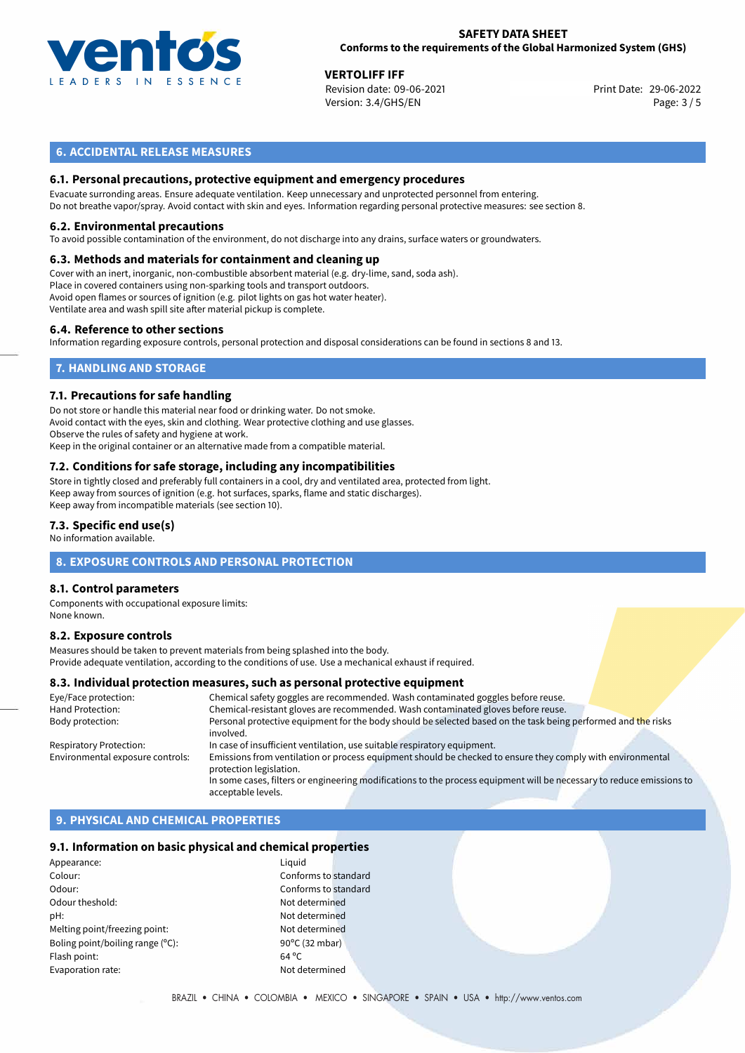

29-06-2022 **VERTOLIFF IFF** Revision date: 09-06-2021 Version: 3.4/GHS/EN Page: 3 / 5

# **6. ACCIDENTAL RELEASE MEASURES**

# **6.1. Personal precautions, protective equipment and emergency procedures**

Evacuate surronding areas. Ensure adequate ventilation. Keep unnecessary and unprotected personnel from entering. Do not breathe vapor/spray. Avoid contact with skin and eyes. Information regarding personal protective measures: see section 8.

#### **6.2. Environmental precautions**

To avoid possible contamination of the environment, do not discharge into any drains, surface waters or groundwaters.

#### **6.3. Methods and materials for containment and cleaning up**

Cover with an inert, inorganic, non-combustible absorbent material (e.g. dry-lime, sand, soda ash). Place in covered containers using non-sparking tools and transport outdoors. Avoid open flames or sources of ignition (e.g. pilot lights on gas hot water heater). Ventilate area and wash spill site after material pickup is complete.

#### **6.4. Reference to other sections**

Information regarding exposure controls, personal protection and disposal considerations can be found in sections 8 and 13.

# **7. HANDLING AND STORAGE**

#### **7.1. Precautions for safe handling**

Do not store or handle this material near food or drinking water. Do not smoke. Avoid contact with the eyes, skin and clothing. Wear protective clothing and use glasses. Observe the rules of safety and hygiene at work. Keep in the original container or an alternative made from a compatible material.

# **7.2. Conditions for safe storage, including any incompatibilities**

Store in tightly closed and preferably full containers in a cool, dry and ventilated area, protected from light. Keep away from sources of ignition (e.g. hot surfaces, sparks, flame and static discharges). Keep away from incompatible materials (see section 10).

#### **7.3. Specific end use(s)**

No information available.

### **8. EXPOSURE CONTROLS AND PERSONAL PROTECTION**

### **8.1. Control parameters**

Components with occupational exposure limits: None known.

#### **8.2. Exposure controls**

Measures should be taken to prevent materials from being splashed into the body. Provide adequate ventilation, according to the conditions of use. Use a mechanical exhaust if required.

#### **8.3. Individual protection measures, such as personal protective equipment**

| Eye/Face protection:             | Chemical safety goggles are recommended. Wash contaminated goggles before reuse.                                      |
|----------------------------------|-----------------------------------------------------------------------------------------------------------------------|
| Hand Protection:                 | Chemical-resistant gloves are recommended. Wash contaminated gloves before reuse.                                     |
| Body protection:                 | Personal protective equipment for the body should be selected based on the task being performed and the risks         |
|                                  | involved.                                                                                                             |
| <b>Respiratory Protection:</b>   | In case of insufficient ventilation, use suitable respiratory equipment.                                              |
| Environmental exposure controls: | Emissions from ventilation or process equipment should be checked to ensure they comply with environmental            |
|                                  | protection legislation.                                                                                               |
|                                  | In some cases, filters or engineering modifications to the process equipment will be necessary to reduce emissions to |
|                                  | acceptable levels.                                                                                                    |

# **9. PHYSICAL AND CHEMICAL PROPERTIES**

#### **9.1. Information on basic physical and chemical properties**

| Appearance:                      | Liguid         |
|----------------------------------|----------------|
| Colour:                          | Confo          |
| Odour:                           | Confo          |
| Odour theshold:                  | Not de         |
| pH:                              | Not de         |
| Melting point/freezing point:    | Not de         |
| Boling point/boiling range (°C): | 90°C (         |
| Flash point:                     | $64^{\circ}$ C |
| Evaporation rate:                | Not de         |
|                                  |                |

Conforms to standard Conforms to standard Not determined Not determined Not determined  $90^{\circ}$ C (32 mbar) Not determined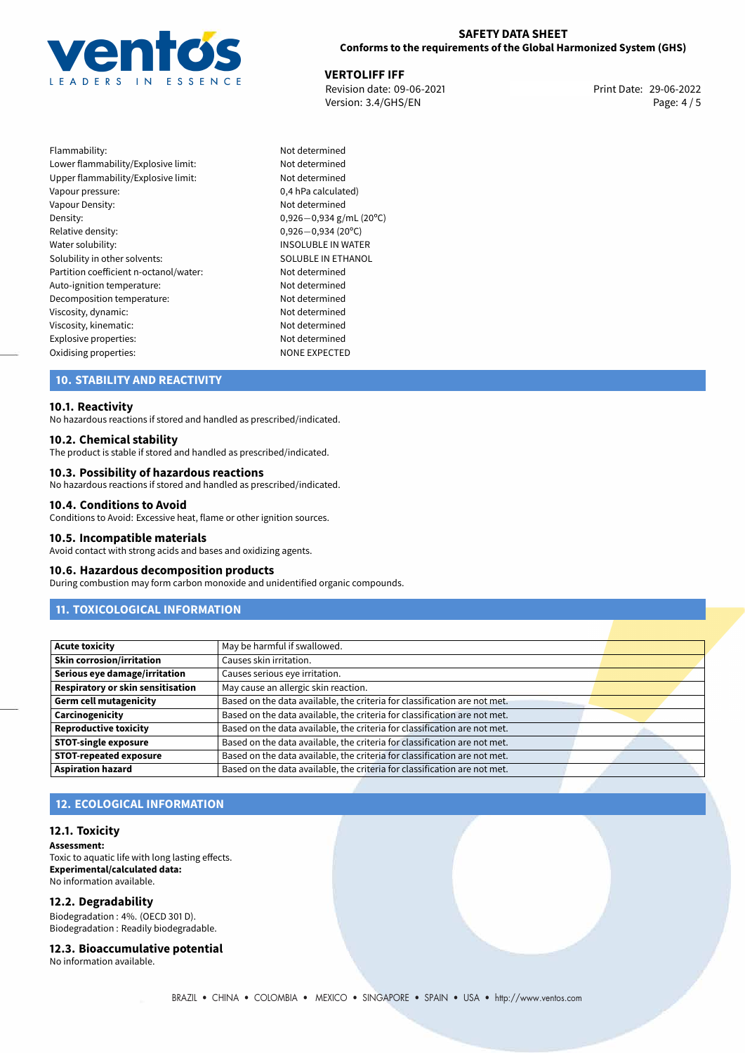

29-06-2022 **VERTOLIFF IFF** Revision date: 09-06-2021 Print Date: Version: 3.4/GHS/EN Page: 4 / 5

Flammability: Not determined Lower flammability/Explosive limit: Not determined Upper flammability/Explosive limit: Not determined Vapour pressure:  $0,4$  hPa calculated) Vapour Density: Not determined Density: 0,926−0,934 g/mL (20<sup>o</sup>C)<br>Relative density: 0,926−0,934 (20<sup>o</sup>C) Relative density: 0,926*−*0,934 (20ºC) Solubility in other solvents: SOLUBLE IN ETHANOL Partition coefficient n-octanol/water: Not determined Auto-ignition temperature: Not determined Decomposition temperature: Not determined<br>
Viscosity, dynamic: Not determined<br>
Not determined Viscosity, dynamic: Viscosity, kinematic: Not determined Explosive properties:<br>
Oxidising properties:<br>
NONE EXPECTED Oxidising properties:

INSOLUBLE IN WATER

# **10. STABILITY AND REACTIVITY**

#### **10.1. Reactivity**

No hazardous reactions if stored and handled as prescribed/indicated.

#### **10.2. Chemical stability**

The product is stable if stored and handled as prescribed/indicated.

#### **10.3. Possibility of hazardous reactions**

No hazardous reactions if stored and handled as prescribed/indicated.

#### **10.4. Conditions to Avoid**

Conditions to Avoid: Excessive heat, flame or other ignition sources.

#### **10.5. Incompatible materials**

Avoid contact with strong acids and bases and oxidizing agents.

#### **10.6. Hazardous decomposition products**

During combustion may form carbon monoxide and unidentified organic compounds.

# **11. TOXICOLOGICAL INFORMATION**

| <b>Acute toxicity</b>             | May be harmful if swallowed.                                              |  |
|-----------------------------------|---------------------------------------------------------------------------|--|
| <b>Skin corrosion/irritation</b>  | Causes skin irritation.                                                   |  |
| Serious eye damage/irritation     | Causes serious eye irritation.                                            |  |
| Respiratory or skin sensitisation | May cause an allergic skin reaction.                                      |  |
| <b>Germ cell mutagenicity</b>     | Based on the data available, the criteria for classification are not met. |  |
| Carcinogenicity                   | Based on the data available, the criteria for classification are not met. |  |
| <b>Reproductive toxicity</b>      | Based on the data available, the criteria for classification are not met. |  |
| <b>STOT-single exposure</b>       | Based on the data available, the criteria for classification are not met. |  |
| <b>STOT-repeated exposure</b>     | Based on the data available, the criteria for classification are not met. |  |
| <b>Aspiration hazard</b>          | Based on the data available, the criteria for classification are not met. |  |

# **12. ECOLOGICAL INFORMATION**

#### **12.1. Toxicity**

**Assessment:** Toxic to aquatic life with long lasting effects. **Experimental/calculated data:** No information available.

#### **12.2. Degradability**

Biodegradation : 4%. (OECD 301 D). Biodegradation : Readily biodegradable.

**12.3. Bioaccumulative potential** No information available.